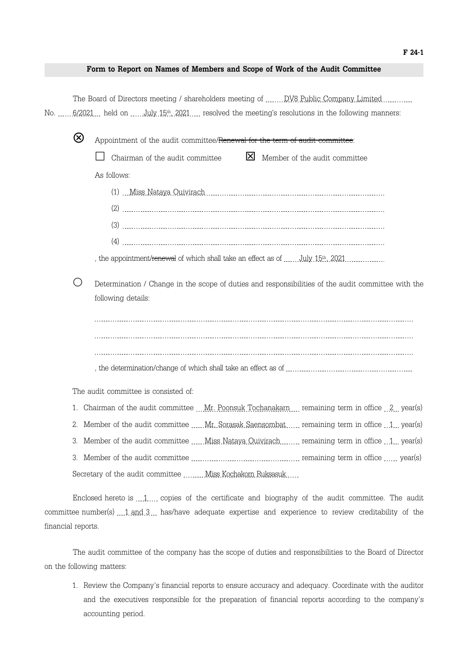## **Form to Report on Names of Members and Scope of Work of the Audit Committee**

The Board of Directors meeting / shareholders meeting of **NOV8** Public Company Limited **NUMA** No. 6/2021 held on July 15th, 2021 resolved the meeting's resolutions in the following manners:

V Appointment of the audit committee/Renewal for the term of audit committee:  $\Box$  Chairman of the audit committee  $\Box$  Member of the audit committee As follows:  $(1)$  Miss Nataya Quivirach (2) (3) (4)

, the appointment/<del>renewal</del> of which shall take an effect as of  $\rm July\ 15^{th}$ , 2021

 $\bigcirc$  Determination / Change in the scope of duties and responsibilities of the audit committee with the following details:

, the determination/change of which shall take an effect as of

The audit committee is consisted of:

- 1. Chairman of the audit committee Mr. Poonsuk Tochanakarn remaining term in office 2 year(s)
- 2. Member of the audit committee  $\ldots$  Mr. Sorasak Saensombat  $\ldots$  remaining term in office  $1 \ldots$  year(s)
- 3. Member of the audit committee  $\ldots$  Miss Nataya Ouivirach remaining term in office  $1$  year(s)
- 3. Member of the audit committee *maching term in office the search* vermaining term in office  $\ldots$  year(s) Secretary of the audit committee Miss Kochakorn Ruksasuk

Enclosed hereto is  $\ldots$  copies of the certificate and biography of the audit committee. The audit committee number(s)  $1$  and  $3$  has/have adequate expertise and experience to review creditability of the financial reports.

The audit committee of the company has the scope of duties and responsibilities to the Board of Director on the following matters:

1. Review the Company's financial reports to ensure accuracy and adequacy. Coordinate with the auditor and the executives responsible for the preparation of financial reports according to the company's accounting period.